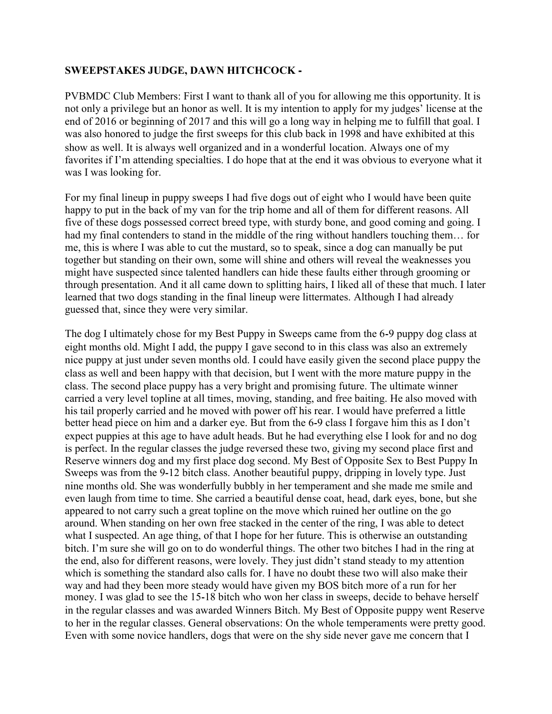## **SWEEPSTAKES JUDGE, DAWN HITCHCOCK -**

PVBMDC Club Members: First I want to thank all of you for allowing me this opportunity. It is not only a privilege but an honor as well. It is my intention to apply for my judges' license at the end of 2016 or beginning of 2017 and this will go a long way in helping me to fulfill that goal. I was also honored to judge the first sweeps for this club back in 1998 and have exhibited at this show as well. It is always well organized and in a wonderful location. Always one of my favorites if I'm attending specialties. I do hope that at the end it was obvious to everyone what it was I was looking for.

For my final lineup in puppy sweeps I had five dogs out of eight who I would have been quite happy to put in the back of my van for the trip home and all of them for different reasons. All five of these dogs possessed correct breed type, with sturdy bone, and good coming and going. I had my final contenders to stand in the middle of the ring without handlers touching them... for me, this is where I was able to cut the mustard, so to speak, since a dog can manually be put together but standing on their own, some will shine and others will reveal the weaknesses you might have suspected since talented handlers can hide these faults either through grooming or through presentation. And it all came down to splitting hairs, I liked all of these that much. I later learned that two dogs standing in the final lineup were littermates. Although I had already guessed that, since they were very similar.

The dog I ultimately chose for my Best Puppy in Sweeps came from the 6-9 puppy dog class at eight months old. Might I add, the puppy I gave second to in this class was also an extremely nice puppy at just under seven months old. I could have easily given the second place puppy the class as well and been happy with that decision, but I went with the more mature puppy in the class. The second place puppy has a very bright and promising future. The ultimate winner carried a very level topline at all times, moving, standing, and free baiting. He also moved with his tail properly carried and he moved with power off his rear. I would have preferred a little better head piece on him and a darker eye. But from the 6-9 class I forgave him this as I don't expect puppies at this age to have adult heads. But he had everything else I look for and no dog is perfect. In the regular classes the judge reversed these two, giving my second place first and Reserve winners dog and my first place dog second. My Best of Opposite Sex to Best Puppy In Sweeps was from the 9-12 bitch class. Another beautiful puppy, dripping in lovely type. Just nine months old. She was wonderfully bubbly in her temperament and she made me smile and even laugh from time to time. She carried a beautiful dense coat, head, dark eyes, bone, but she appeared to not carry such a great topline on the move which ruined her outline on the go around. When standing on her own free stacked in the center of the ring, I was able to detect what I suspected. An age thing, of that I hope for her future. This is otherwise an outstanding bitch. I'm sure she will go on to do wonderful things. The other two bitches I had in the ring at the end, also for different reasons, were lovely. They just didn't stand steady to my attention which is something the standard also calls for. I have no doubt these two will also make their way and had they been more steady would have given my BOS bitch more of a run for her money. I was glad to see the 15-18 bitch who won her class in sweeps, decide to behave herself in the regular classes and was awarded Winners Bitch. My Best of Opposite puppy went Reserve to her in the regular classes. General observations: On the whole temperaments were pretty good. Even with some novice handlers, dogs that were on the shy side never gave me concern that I